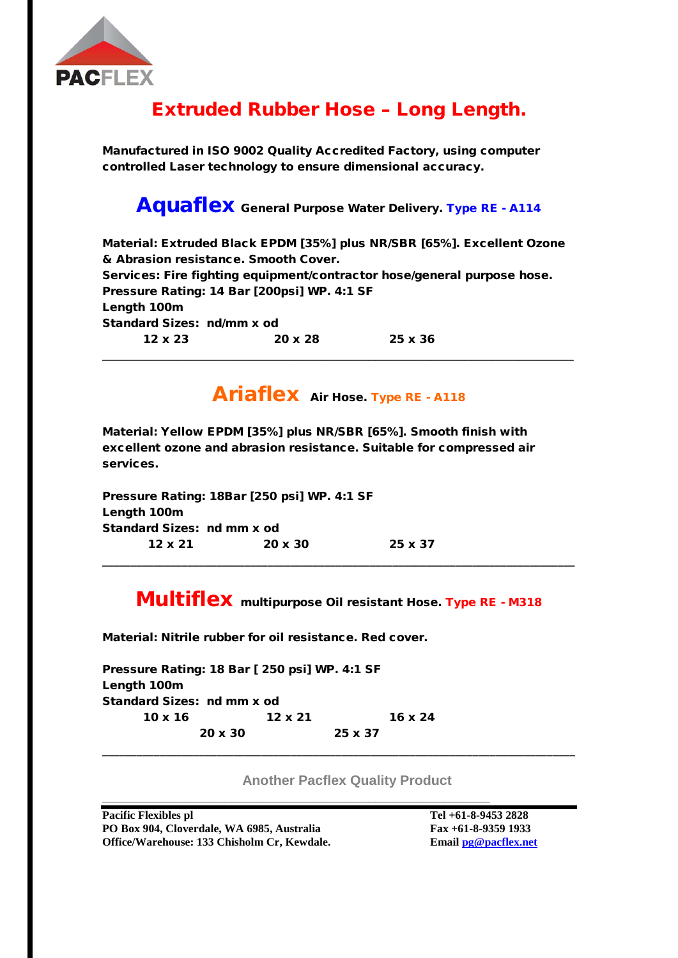

## Extruded Rubber Hose – Long Length.

Manufactured in ISO 9002 Quality Accredited Factory, using computer controlled Laser technology to ensure dimensional accuracy.

#### Aquaflex General Purpose Water Delivery. Type RE - A114

Material: Extruded Black EPDM [35%] plus NR/SBR [65%]. Excellent Ozone & Abrasion resistance. Smooth Cover. Services: Fire fighting equipment/contractor hose/general purpose hose. Pressure Rating: 14 Bar [200psi] WP. 4:1 SF Length 100m Standard Sizes: nd/mm x od 12 x 23 20 x 28 25 x 36 \_\_\_\_\_\_\_\_\_\_\_\_\_\_\_\_\_\_\_\_\_\_\_\_\_\_\_\_\_\_\_\_\_\_\_\_\_\_\_\_\_\_\_\_\_\_\_\_\_\_\_\_\_\_\_\_\_\_\_\_\_\_\_\_\_\_\_\_\_

## Ariaflex Air Hose. Type RE - A118

Material: Yellow EPDM [35%] plus NR/SBR [65%]. Smooth finish with excellent ozone and abrasion resistance. Suitable for compressed air services.

Pressure Rating: 18Bar [250 psi] WP. 4:1 SF Length 100m Standard Sizes: nd mm x od 12 x 21 20 x 30 25 x 37

#### Multiflex multipurpose Oil resistant Hose. Type RE - M318

\_\_\_\_\_\_\_\_\_\_\_\_\_\_\_\_\_\_\_\_\_\_\_\_\_\_\_\_\_\_\_\_\_\_\_\_\_\_\_\_\_\_\_\_\_\_\_\_\_\_\_\_\_\_\_\_\_\_\_\_\_\_\_\_\_\_\_\_\_\_\_\_\_\_\_\_\_\_\_\_\_\_\_

Material: Nitrile rubber for oil resistance. Red cover.

| Pressure Rating: 18 Bar [ 250 psi] WP. 4:1 SF |  |                |                |                |  |  |  |  |  |  |
|-----------------------------------------------|--|----------------|----------------|----------------|--|--|--|--|--|--|
| Length 100m                                   |  |                |                |                |  |  |  |  |  |  |
| Standard Sizes: nd mm x od                    |  |                |                |                |  |  |  |  |  |  |
| $10 \times 16$                                |  | $12 \times 21$ |                | $16 \times 24$ |  |  |  |  |  |  |
| $20 \times 30$                                |  |                | $25 \times 37$ |                |  |  |  |  |  |  |
|                                               |  |                |                |                |  |  |  |  |  |  |

**\_\_\_\_\_\_\_\_\_\_\_\_\_\_\_\_\_\_\_\_\_\_\_\_\_\_\_\_\_\_\_\_\_\_\_\_\_\_\_\_\_\_\_\_\_\_\_\_\_\_\_**

**Another Pacflex Quality Product**

**Pacific Flexibles pl Tel +61-8-9453 2828 PO Box 904, Cloverdale, WA 6985, Australia Fax +61-8-9359 1933 Office/Warehouse: 133 Chisholm Cr, Kewdale. Email [pg@pacflex.net](mailto:pg@pacflex.net)**